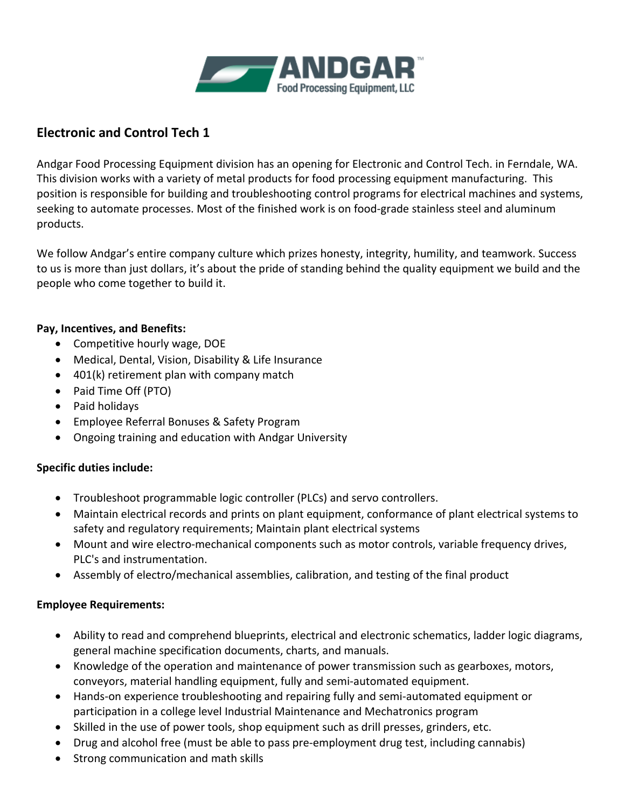

## **Electronic and Control Tech 1**

Andgar Food Processing Equipment division has an opening for Electronic and Control Tech. in Ferndale, WA. This division works with a variety of metal products for food processing equipment manufacturing. This position is responsible for building and troubleshooting control programs for electrical machines and systems, seeking to automate processes. Most of the finished work is on food-grade stainless steel and aluminum products.

We follow Andgar's entire company culture which prizes honesty, integrity, humility, and teamwork. Success to us is more than just dollars, it's about the pride of standing behind the quality equipment we build and the people who come together to build it.

## **Pay, Incentives, and Benefits:**

- Competitive hourly wage, DOE
- Medical, Dental, Vision, Disability & Life Insurance
- 401(k) retirement plan with company match
- Paid Time Off (PTO)
- Paid holidays
- Employee Referral Bonuses & Safety Program
- Ongoing training and education with Andgar University

## **Specific duties include:**

- Troubleshoot programmable logic controller (PLCs) and servo controllers.
- Maintain electrical records and prints on plant equipment, conformance of plant electrical systems to safety and regulatory requirements; Maintain plant electrical systems
- Mount and wire electro-mechanical components such as motor controls, variable frequency drives, PLC's and instrumentation.
- Assembly of electro/mechanical assemblies, calibration, and testing of the final product

## **Employee Requirements:**

- Ability to read and comprehend blueprints, electrical and electronic schematics, ladder logic diagrams, general machine specification documents, charts, and manuals.
- Knowledge of the operation and maintenance of power transmission such as gearboxes, motors, conveyors, material handling equipment, fully and semi-automated equipment.
- Hands-on experience troubleshooting and repairing fully and semi-automated equipment or participation in a college level Industrial Maintenance and Mechatronics program
- Skilled in the use of power tools, shop equipment such as drill presses, grinders, etc.
- Drug and alcohol free (must be able to pass pre-employment drug test, including cannabis)
- Strong communication and math skills